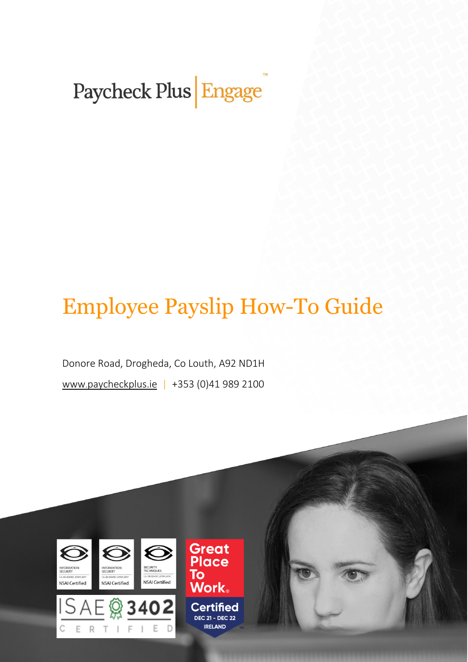Paycheck Plus Engage

# Employee Payslip How-To Guide

Donore Road, Drogheda, Co Louth, A92 ND1H www.[paycheckplus.ie](http://www.paycheckplus.ie/) | +353 (0)41 989 2100

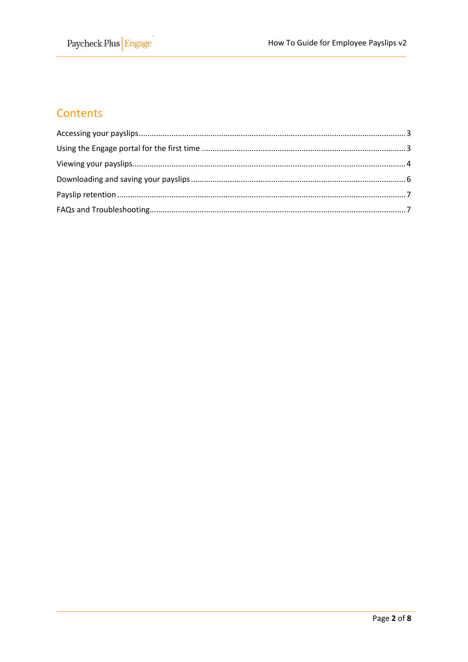# Contents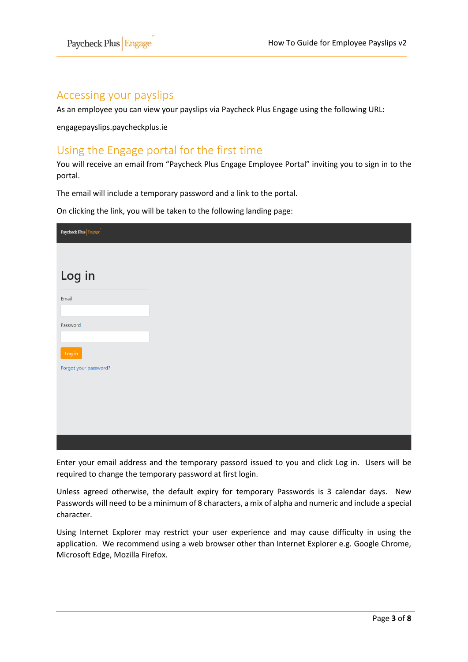### <span id="page-2-0"></span>Accessing your payslips

As an employee you can view your payslips via Paycheck Plus Engage using the following URL:

engagepayslips.paycheckplus.ie

## <span id="page-2-1"></span>Using the Engage portal for the first time

l,

You will receive an email from "Paycheck Plus Engage Employee Portal" inviting you to sign in to the portal.

The email will include a temporary password and a link to the portal.

On clicking the link, you will be taken to the following landing page:

| $\pmb{\text{Paycheck Plus}}\Big \text{Engage}$ |  |  |
|------------------------------------------------|--|--|
|                                                |  |  |
| Log in                                         |  |  |
|                                                |  |  |
| Email                                          |  |  |
|                                                |  |  |
| Password                                       |  |  |
| Log in                                         |  |  |
| Forgot your password?                          |  |  |
|                                                |  |  |
|                                                |  |  |
|                                                |  |  |
|                                                |  |  |
|                                                |  |  |

Enter your email address and the temporary passord issued to you and click Log in. Users will be required to change the temporary password at first login.

Unless agreed otherwise, the default expiry for temporary Passwords is 3 calendar days. New Passwords will need to be a minimum of 8 characters, a mix of alpha and numeric and include a special character.

Using Internet Explorer may restrict your user experience and may cause difficulty in using the application. We recommend using a web browser other than Internet Explorer e.g. Google Chrome, Microsoft Edge, Mozilla Firefox.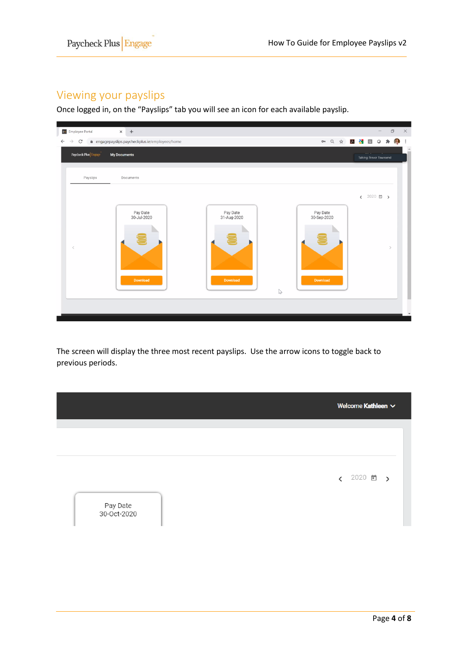## <span id="page-3-0"></span>Viewing your payslips

Once logged in, on the "Payslips" tab you will see an icon for each available payslip.

l,



The screen will display the three most recent payslips. Use the arrow icons to toggle back to previous periods.

|                         | Welcome Kathleen $\vee$        |
|-------------------------|--------------------------------|
|                         |                                |
|                         |                                |
|                         |                                |
|                         |                                |
|                         | $\sqrt{2020}$<br>$\rightarrow$ |
|                         |                                |
|                         |                                |
| Pay Date<br>30-Oct-2020 |                                |
|                         |                                |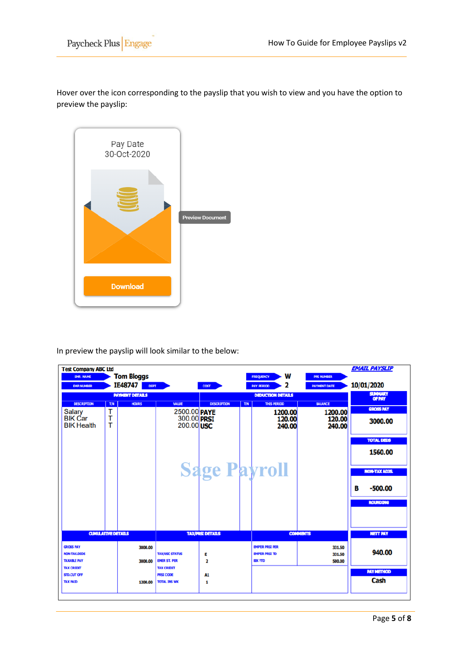Hover over the icon corresponding to the payslip that you wish to view and you have the option to preview the payslip:



l,

In preview the payslip will look similar to the below:

| <b>Test Company ABC Ltd</b><br><b>EMP. NAME</b><br><b>EMP.NUMBER</b> |        | <b>Tom Bloggs</b><br>IE48747<br><b>DEPT</b> |                                              | <b>COST</b>             |     | w<br><b>FREQUENCY</b><br>2<br><b>PAY PERIOD</b>                  | <b>PPS NUMBER</b><br><b>PAYMENT DATE</b> |   | <b>EMAIL PAYSLIP</b><br>10/01/2020 |
|----------------------------------------------------------------------|--------|---------------------------------------------|----------------------------------------------|-------------------------|-----|------------------------------------------------------------------|------------------------------------------|---|------------------------------------|
|                                                                      |        | <b>PAYMENT DETAILS</b>                      |                                              |                         |     | <b>DEDUCTION DETAILS</b>                                         |                                          |   | <b>SUMMARY</b>                     |
| <b>DESCRIPTION</b>                                                   | T/N    | <b>HOURS</b>                                | <b>VALUE</b>                                 | <b>DESCRIPTION</b>      | T/N | <b>THIS PERIOD</b>                                               | <b>BALANCE</b>                           |   | OF PAY                             |
| <b>Salary</b>                                                        | т      |                                             | 2500.00 PAYE                                 |                         |     | 1200.00                                                          | 1200.00                                  |   | <b>GROSS PAY</b>                   |
| <b>BIK Car</b><br><b>BIK Health</b>                                  | т<br>т |                                             | 300.00 PRSI<br>200.00 USC                    |                         |     | 120.00<br>240.00                                                 | 120.00<br>240.00                         |   | 3000.00                            |
|                                                                      |        |                                             |                                              |                         |     |                                                                  |                                          |   | <b>TOTAL DEDS</b>                  |
|                                                                      |        |                                             |                                              |                         |     |                                                                  |                                          |   | 1560.00                            |
|                                                                      |        |                                             |                                              | <b>Sage Payroll</b>     |     |                                                                  |                                          |   | <b>NON-TAX ADJS.</b>               |
|                                                                      |        |                                             |                                              |                         |     |                                                                  |                                          | в | $-500.00$                          |
|                                                                      |        |                                             |                                              |                         |     |                                                                  |                                          |   | <b>ROUNDING</b>                    |
|                                                                      |        |                                             |                                              |                         |     |                                                                  |                                          |   |                                    |
| <b>CUMULATIVE DETAILS</b>                                            |        |                                             |                                              | <b>TAX/PRSI DETAILS</b> |     |                                                                  | <b>COMMENTS</b>                          |   | <b>NETT PAY</b>                    |
| <b>GROSS PAY</b><br><b>NON-TAX.DEDS</b><br><b>TAXABLE PAY</b>        |        | 3000.00<br>3000.00                          | <b>TAX/USC STATUS</b><br><b>EMER ST. PER</b> | Ε<br>$\overline{2}$     |     | <b>EMP'ER PRSI PER</b><br><b>EMPER PRSI TD</b><br><b>BDK YTD</b> | 331.50<br>331.50<br>500.00               |   | 940.00                             |
| <b>TAX CREDIT</b><br>STD.CUT OFF                                     |        |                                             | <b>TAX CREDIT</b><br><b>PRSI CODE</b>        | A1                      |     |                                                                  |                                          |   | <b>PAY METHOD</b>                  |
| <b>TAX PAID</b>                                                      |        | 1200.00                                     | <b>TOTAL INS WK</b>                          | 1                       |     |                                                                  |                                          |   | Cash                               |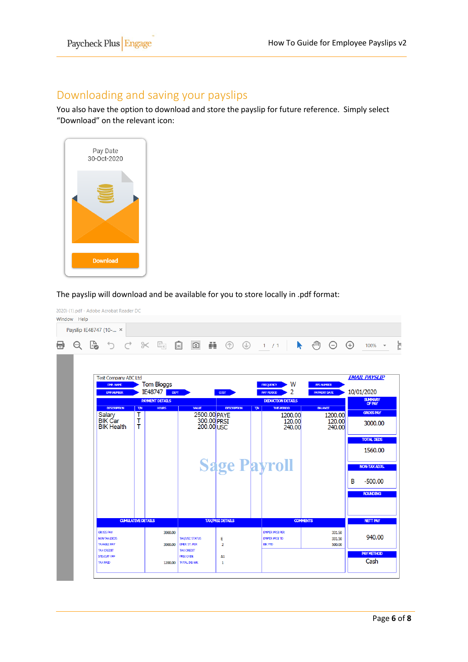## <span id="page-5-0"></span>Downloading and saving your payslips

l,

You also have the option to download and store the payslip for future reference. Simply select "Download" on the relevant icon:



The payslip will download and be available for you to store locally in .pdf format:

|         | Payslip IE48747 (10- ×              |                           |                                           |                                              |                           |                |                                                    |                                                    |                                        |
|---------|-------------------------------------|---------------------------|-------------------------------------------|----------------------------------------------|---------------------------|----------------|----------------------------------------------------|----------------------------------------------------|----------------------------------------|
| $\odot$ | ■ つで ※ 国                            |                           |                                           | $\boxed{\circ}$<br>$\Box$                    | ēL                        | $\circledcirc$ | 1 / 1                                              | ৻ <sup>Պ</sup><br>$\Theta$<br>$\ddot{\phantom{1}}$ | $\bigoplus$<br>$100\%$ $\star$         |
|         | <b>Test Company ABC Ltd</b>         |                           |                                           |                                              |                           |                |                                                    |                                                    | <b>EMAIL PAYSLIP</b>                   |
|         | EMP. NAME                           |                           | <b>Tom Bloggs</b>                         |                                              |                           |                | W<br><b>FREQUENCY</b>                              | <b>PPS NUMBER</b>                                  |                                        |
|         | <b>EMP.NUMBER</b>                   |                           | IE48747<br>DEFT<br><b>PAYMENT DETAILS</b> |                                              | $\cos$                    |                | 2<br><b>PAY PERIOD</b><br><b>DEDUCTION DETAILS</b> | <b>PAYMENT DATE</b>                                | 10/01/2020<br><b>SUMMARY</b><br>OF PAY |
|         | <b>DESCRIPTION</b>                  | <b>T/N</b>                | <b>HOURS</b>                              | <b>VALLE</b>                                 | <b>DESCRIPTION</b>        | <b>T/N</b>     | <b>THIS PERIOD</b>                                 | <b>BALANCE</b>                                     |                                        |
|         | Salary                              | т                         |                                           |                                              | 2500.00 PAYE              |                | 1200.00                                            | 1200.00                                            | <b>GROSS PAY</b>                       |
|         | <b>BIK</b> Car<br><b>BIK Health</b> | т<br>т                    |                                           |                                              | 300.00 PRST<br>200.00 USC |                | 120.00<br>240.00                                   | 120.00<br>240,00                                   | 3000.00                                |
|         |                                     |                           |                                           |                                              |                           |                |                                                    |                                                    | <b>TOTAL DEDS</b>                      |
|         |                                     |                           |                                           |                                              |                           |                |                                                    |                                                    | 1560.00                                |
|         |                                     |                           |                                           |                                              | <b>Sage Payroll</b>       |                |                                                    |                                                    | <b>NON-TAX ADJS.</b>                   |
|         |                                     |                           |                                           |                                              |                           |                |                                                    |                                                    | B<br>$-500.00$                         |
|         |                                     |                           |                                           |                                              |                           |                |                                                    |                                                    | <b>ROUNDING</b>                        |
|         |                                     | <b>CUMULATIVE DETAILS</b> |                                           |                                              | <b>TAX/PRSI DETAILS</b>   |                |                                                    | <b>COMMENTS</b>                                    | <b>NETT PAY</b>                        |
|         | <b>GROSS PAY</b>                    |                           | 3000.00                                   |                                              |                           |                | <b>EMP'ER PRSI PER</b>                             | 331.50                                             |                                        |
|         | NON-TAX.DEDS<br><b>TAXABLE PAY</b>  |                           | 3000.00                                   | <b>TAX/USC STATUS</b><br><b>EMER ST. PER</b> | Е<br>$\overline{2}$       |                | <b>EMP'ER PRSI TD</b><br><b>BIKYTD</b>             | 331.50<br>500.00                                   | 940.00                                 |
|         | <b>TAX CREDIT</b>                   |                           |                                           | <b>TAX CREDIT</b>                            |                           |                |                                                    |                                                    | <b>PAY METHOD</b>                      |
|         | STD.CUT OFF<br><b>TAX PAID</b>      |                           | 1200.00                                   | <b>PRSI CODE</b><br><b>TOTAL INS WK</b>      | A1<br>1                   |                |                                                    |                                                    | Cash                                   |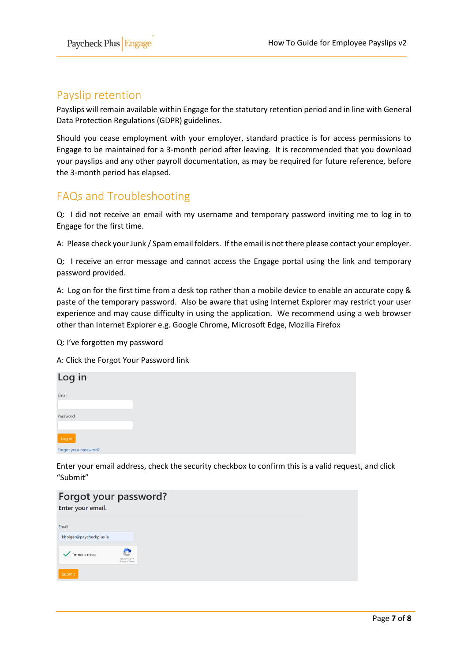l,

## <span id="page-6-0"></span>Payslip retention

Payslips will remain available within Engage for the statutory retention period and in line with General Data Protection Regulations (GDPR) guidelines.

Should you cease employment with your employer, standard practice is for access permissions to Engage to be maintained for a 3-month period after leaving. It is recommended that you download your payslips and any other payroll documentation, as may be required for future reference, before the 3-month period has elapsed.

### <span id="page-6-1"></span>FAQs and Troubleshooting

Q: I did not receive an email with my username and temporary password inviting me to log in to Engage for the first time.

A: Please check your Junk / Spam email folders. If the email is not there please contact your employer.

Q: I receive an error message and cannot access the Engage portal using the link and temporary password provided.

A: Log on for the first time from a desk top rather than a mobile device to enable an accurate copy & paste of the temporary password. Also be aware that using Internet Explorer may restrict your user experience and may cause difficulty in using the application. We recommend using a web browser other than Internet Explorer e.g. Google Chrome, Microsoft Edge, Mozilla Firefox

Q: I've forgotten my password

A: Click the Forgot Your Password link

| Log in                |  |  |
|-----------------------|--|--|
| Email                 |  |  |
| Password              |  |  |
| Log in                |  |  |
| Forgot your password? |  |  |

Enter your email address, check the security checkbox to confirm this is a valid request, and click "Submit"